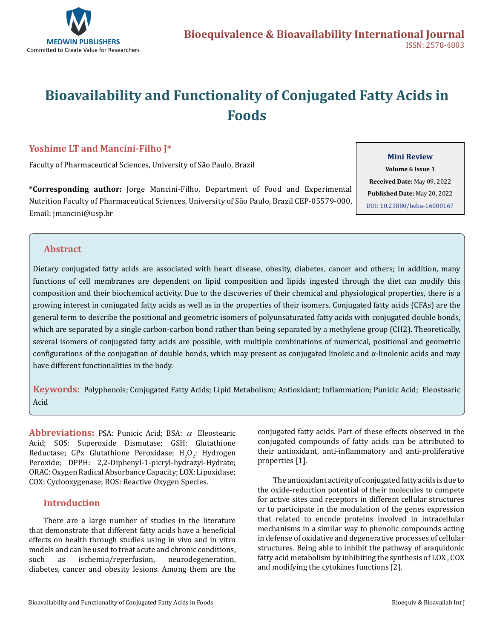

# **Bioavailability and Functionality of Conjugated Fatty Acids in Foods**

# **Yoshime LT and Mancini-Filho J\***

Faculty of Pharmaceutical Sciences, University of São Paulo, Brazil

**\*Corresponding author:** Jorge Mancini-Filho, Department of Food and Experimental Nutrition Faculty of Pharmaceutical Sciences, University of São Paulo, Brazil CEP-05579-000, Email: jmancini@usp.br

### **Mini Review**

**Volume 6 Issue 1 Received Date:** May 09, 2022 **Published Date:** May 20, 2022 [DOI: 10.23880/beba-16000167](https://doi.org/10.23880/beba-16000167)

# **Abstract**

Dietary conjugated fatty acids are associated with heart disease, obesity, diabetes, cancer and others; in addition, many functions of cell membranes are dependent on lipid composition and lipids ingested through the diet can modify this composition and their biochemical activity. Due to the discoveries of their chemical and physiological properties, there is a growing interest in conjugated fatty acids as well as in the properties of their isomers. Conjugated fatty acids (CFAs) are the general term to describe the positional and geometric isomers of polyunsaturated fatty acids with conjugated double bonds, which are separated by a single carbon-carbon bond rather than being separated by a methylene group (CH2). Theoretically, several isomers of conjugated fatty acids are possible, with multiple combinations of numerical, positional and geometric configurations of the conjugation of double bonds, which may present as conjugated linoleic and  $\alpha$ -linolenic acids and may have different functionalities in the body.

**Keywords:** Polyphenols; Conjugated Fatty Acids; Lipid Metabolism; Antioxidant; Inflammation; Punicic Acid; Eleostearic Acid

**Abbreviations:** PSA: Punicic Acid; BSA: α Eleostearic Acid; SOS: Superoxide Dismutase; GSH: Glutathione Reductase; GPx Glutathione Peroxidase; H<sub>2</sub>O<sub>2</sub>: Hydrogen Peroxide; DPPH: 2,2-Diphenyl-1-picryl-hydrazyl-Hydrate; ORAC: Oxygen Radical Absorbance Capacity; LOX: Lipoxidase; COX: Cyclooxygenase; ROS: Reactive Oxygen Species.

# **Introduction**

There are a large number of studies in the literature that demonstrate that different fatty acids have a beneficial effects on health through studies using in vivo and in vitro models and can be used to treat acute and chronic conditions,<br>such as ischemia/reperfusion, neurodegeneration, ischemia/reperfusion, diabetes, cancer and obesity lesions. Among them are the conjugated fatty acids. Part of these effects observed in the conjugated compounds of fatty acids can be attributed to their antioxidant, anti-inflammatory and anti-proliferative properties [1].

 The antioxidant activity of conjugated fatty acids is due to the oxide-reduction potential of their molecules to compete for active sites and receptors in different cellular structures or to participate in the modulation of the genes expression that related to encode proteins involved in intracellular mechanisms in a similar way to phenolic compounds acting in defense of oxidative and degenerative processes of cellular structures. Being able to inhibit the pathway of araquidonic fatty acid metabolism by inhibiting the synthesis of LOX , COX and modifying the cytokines functions [2].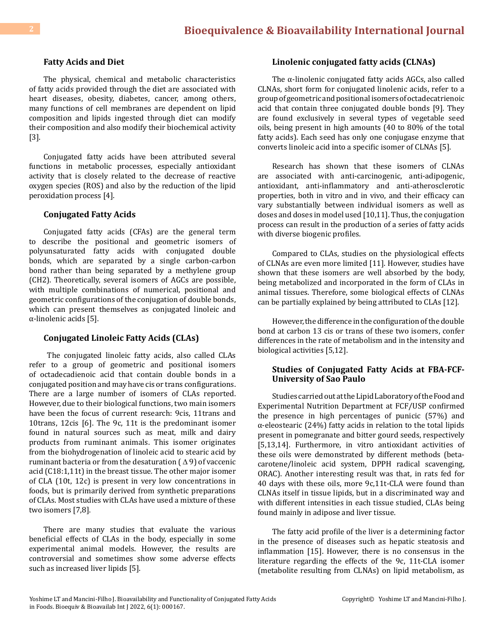#### **Fatty Acids and Diet**

The physical, chemical and metabolic characteristics of fatty acids provided through the diet are associated with heart diseases, obesity, diabetes, cancer, among others, many functions of cell membranes are dependent on lipid composition and lipids ingested through diet can modify their composition and also modify their biochemical activity [3].

Conjugated fatty acids have been attributed several functions in metabolic processes, especially antioxidant activity that is closely related to the decrease of reactive oxygen species (ROS) and also by the reduction of the lipid peroxidation process [4].

#### **Conjugated Fatty Acids**

Conjugated fatty acids (CFAs) are the general term to describe the positional and geometric isomers of polyunsaturated fatty acids with conjugated double bonds, which are separated by a single carbon-carbon bond rather than being separated by a methylene group (CH2). Theoretically, several isomers of AGCs are possible, with multiple combinations of numerical, positional and geometric configurations of the conjugation of double bonds, which can present themselves as conjugated linoleic and α-linolenic acids [5].

#### **Conjugated Linoleic Fatty Acids (CLAs)**

 The conjugated linoleic fatty acids, also called CLAs refer to a group of geometric and positional isomers of octadecadienoic acid that contain double bonds in a conjugated position and may have cis or trans configurations. There are a large number of isomers of CLAs reported. However, due to their biological functions, two main isomers have been the focus of current research: 9cis, 11trans and 10trans, 12cis [6]. The 9c, 11t is the predominant isomer found in natural sources such as meat, milk and dairy products from ruminant animals. This isomer originates from the biohydrogenation of linoleic acid to stearic acid by ruminant bacteria or from the desaturation ( $\Delta$ 9) of vaccenic acid (C18:1,11t) in the breast tissue. The other major isomer of CLA (10t, 12c) is present in very low concentrations in foods, but is primarily derived from synthetic preparations of CLAs. Most studies with CLAs have used a mixture of these two isomers [7,8].

There are many studies that evaluate the various beneficial effects of CLAs in the body, especially in some experimental animal models. However, the results are controversial and sometimes show some adverse effects such as increased liver lipids [5].

#### **Linolenic conjugated fatty acids (CLNAs)**

The α-linolenic conjugated fatty acids AGCs, also called CLNAs, short form for conjugated linolenic acids, refer to a group of geometric and positional isomers of octadecatrienoic acid that contain three conjugated double bonds [9]. They are found exclusively in several types of vegetable seed oils, being present in high amounts (40 to 80% of the total fatty acids). Each seed has only one conjugase enzyme that converts linoleic acid into a specific isomer of CLNAs [5].

Research has shown that these isomers of CLNAs are associated with anti-carcinogenic, anti-adipogenic, antioxidant, anti-inflammatory and anti-atherosclerotic properties, both in vitro and in vivo, and their efficacy can vary substantially between individual isomers as well as doses and doses in model used [10,11]. Thus, the conjugation process can result in the production of a series of fatty acids with diverse biogenic profiles.

Compared to CLAs, studies on the physiological effects of CLNAs are even more limited [11]. However, studies have shown that these isomers are well absorbed by the body, being metabolized and incorporated in the form of CLAs in animal tissues. Therefore, some biological effects of CLNAs can be partially explained by being attributed to CLAs [12].

However, the difference in the configuration of the double bond at carbon 13 cis or trans of these two isomers, confer differences in the rate of metabolism and in the intensity and biological activities [5,12].

#### **Studies of Conjugated Fatty Acids at FBA-FCF-University of Sao Paulo**

Studies carried out at the Lipid Laboratory of the Food and Experimental Nutrition Department at FCF/USP confirmed the presence in high percentages of punicic (57%) and α-eleostearic (24%) fatty acids in relation to the total lipids present in pomegranate and bitter gourd seeds, respectively [5,13,14]. Furthermore, in vitro antioxidant activities of these oils were demonstrated by different methods (betacarotene/linoleic acid system, DPPH radical scavenging, ORAC). Another interesting result was that, in rats fed for 40 days with these oils, more 9c,11t-CLA were found than CLNAs itself in tissue lipids, but in a discriminated way and with different intensities in each tissue studied, CLAs being found mainly in adipose and liver tissue.

The fatty acid profile of the liver is a determining factor in the presence of diseases such as hepatic steatosis and inflammation [15]. However, there is no consensus in the literature regarding the effects of the 9c, 11t-CLA isomer (metabolite resulting from CLNAs) on lipid metabolism, as